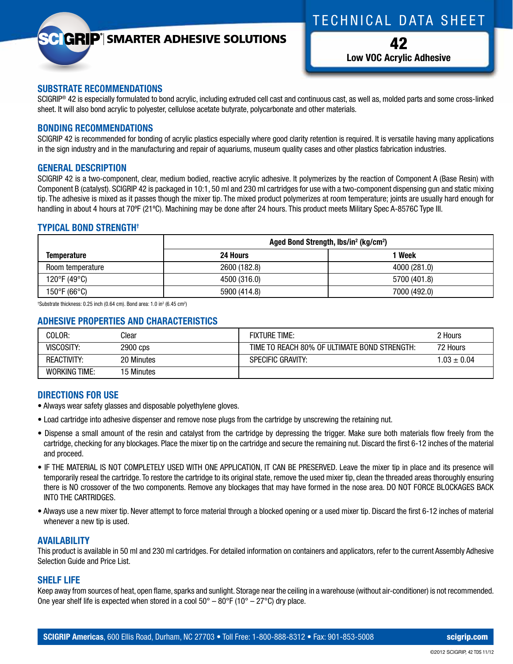# T echnical D ata S heet

## **GRIP**<sup>®</sup> SMARTER ADHESIVE SOLUTIONS

42 **Low VOC Acrylic Adhesive**

#### **SUBSTRATE RECOMMENDATIONS**

SCIGRIP<sup>®</sup> 42 is especially formulated to bond acrylic, including extruded cell cast and continuous cast, as well as, molded parts and some cross-linked sheet. It will also bond acrylic to polyester, cellulose acetate butyrate, polycarbonate and other materials.

#### **BONDING RECOMMENDATIONS**

SCIGRIP 42 is recommended for bonding of acrylic plastics especially where good clarity retention is required. It is versatile having many applications in the sign industry and in the manufacturing and repair of aquariums, museum quality cases and other plastics fabrication industries.

## **GENERAL DESCRIPTION**

SCIGRIP 42 is a two-component, clear, medium bodied, reactive acrylic adhesive. It polymerizes by the reaction of Component A (Base Resin) with Component B (catalyst). SCIGRIP 42 is packaged in 10:1, 50 ml and 230 ml cartridges for use with a two-component dispensing gun and static mixing tip. The adhesive is mixed as it passes though the mixer tip. The mixed product polymerizes at room temperature; joints are usually hard enough for handling in about 4 hours at 70ºF (21ºC). Machining may be done after 24 hours. This product meets Military Spec A-8576C Type III.

## **TYPICAL BOND STRENGTH†**

|                    | Aged Bond Strength, lbs/in <sup>2</sup> (kg/cm <sup>2</sup> ) |              |  |
|--------------------|---------------------------------------------------------------|--------------|--|
| <b>Temperature</b> | 24 Hours                                                      | Week         |  |
| Room temperature   | 2600 (182.8)                                                  | 4000 (281.0) |  |
| 120°F (49°C)       | 4500 (316.0)                                                  | 5700 (401.8) |  |
| 150°F (66°C)       | 5900 (414.8)                                                  | 7000 (492.0) |  |

<sup>†</sup>Substrate thickness: 0.25 inch (0.64 cm). Bond area: 1.0 in $^2$  (6.45 cm $^2$ )

## **ADHESIVE PROPERTIES AND CHARACTERISTICS**

| COLOR:               | Clear      | <b>FIXTURE TIME:</b>                         | 2 Hours         |
|----------------------|------------|----------------------------------------------|-----------------|
| VISCOSITY:           | 2900 cps   | TIME TO REACH 80% OF ULTIMATE BOND STRENGTH: | 72 Hours        |
| <b>REACTIVITY:</b>   | 20 Minutes | <b>SPECIFIC GRAVITY:</b>                     | $1.03 \pm 0.04$ |
| <b>WORKING TIME:</b> | 15 Minutes |                                              |                 |

## **DIRECTIONS FOR USE**

- Always wear safety glasses and disposable polyethylene gloves.
- Load cartridge into adhesive dispenser and remove nose plugs from the cartridge by unscrewing the retaining nut.
- Dispense a small amount of the resin and catalyst from the cartridge by depressing the trigger. Make sure both materials flow freely from the cartridge, checking for any blockages. Place the mixer tip on the cartridge and secure the remaining nut. Discard the first 6-12 inches of the material and proceed.
- IF THE MATERIAL IS NOT COMPLETELY USED WITH ONE APPLICATION, IT CAN BE PRESERVED. Leave the mixer tip in place and its presence will temporarily reseal the cartridge. To restore the cartridge to its original state, remove the used mixer tip, clean the threaded areas thoroughly ensuring there is NO crossover of the two components. Remove any blockages that may have formed in the nose area. DO NOT FORCE BLOCKAGES BACK INTO THE CARTRIDGES.
- Always use a new mixer tip. Never attempt to force material through a blocked opening or a used mixer tip. Discard the first 6-12 inches of material whenever a new tip is used.

## **AVAILABILITY**

This product is available in 50 ml and 230 ml cartridges. For detailed information on containers and applicators, refer to the current Assembly Adhesive Selection Guide and Price List.

## **SHELF LIFE**

Keep away from sources of heat, open flame, sparks and sunlight. Storage near the ceiling in a warehouse (without air-conditioner) is not recommended. One year shelf life is expected when stored in a cool  $50^{\circ} - 80^{\circ}F$  (10° – 27°C) dry place.